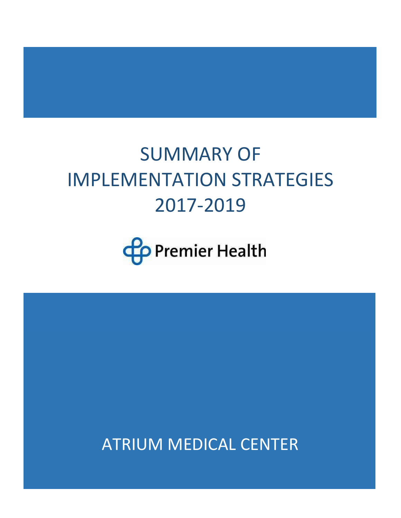# SUMMARY OF IMPLEMENTATION STRATEGIES 2017-2019



ATRIUM MEDICAL CENTER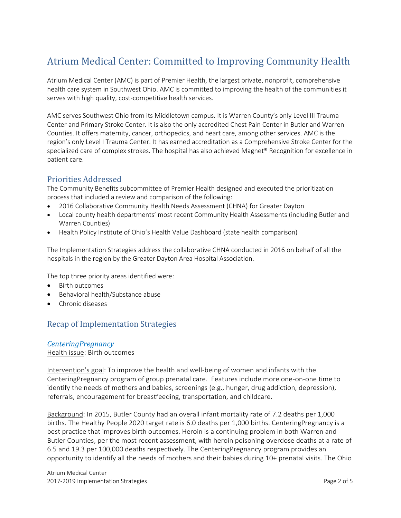# Atrium Medical Center: Committed to Improving Community Health

Atrium Medical Center (AMC) is part of Premier Health, the largest private, nonprofit, comprehensive health care system in Southwest Ohio. AMC is committed to improving the health of the communities it serves with high quality, cost-competitive health services.

AMC serves Southwest Ohio from its Middletown campus. It is Warren County's only [Level III Trauma](https://www.premierhealth.com/services/emergency-and-trauma/trauma-services/atrium-medical-center)  [Center](https://www.premierhealth.com/services/emergency-and-trauma/trauma-services/atrium-medical-center) and [Primary Stroke Center.](https://www.premierhealth.com/services/neuroscience/stroke) It is also the only accredited Chest Pain Center in Butler and Warren Counties. It offers maternity, cancer, orthopedics, and heart care, among other services. AMC is the region's only Level I Trauma Center. It has earned accreditation as a Comprehensive Stroke Center for the specialized care of complex strokes. The hospital has also achieved Magnet® Recognition for excellence in patient care.

# Priorities Addressed

The Community Benefits subcommittee of Premier Health designed and executed the prioritization process that included a review and comparison of the following:

- 2016 Collaborative Community Health Needs Assessment (CHNA) for Greater Dayton
- Local county health departments' most recent Community Health Assessments (including Butler and Warren Counties)
- Health Policy Institute of Ohio's Health Value Dashboard (state health comparison)

The Implementation Strategies address the collaborative CHNA conducted in 2016 on behalf of all the hospitals in the region by the Greater Dayton Area Hospital Association.

The top three priority areas identified were:

- Birth outcomes
- Behavioral health/Substance abuse
- Chronic diseases

# Recap of Implementation Strategies

# *CenteringPregnancy*

Health issue: Birth outcomes

Intervention's goal: To improve the health and well-being of women and infants with the CenteringPregnancy program of group prenatal care. Features include more one-on-one time to identify the needs of mothers and babies, screenings (e.g., hunger, drug addiction, depression), referrals, encouragement for breastfeeding, transportation, and childcare.

Background: In 2015, Butler County had an overall infant mortality rate of 7.2 deaths per 1,000 births. The Healthy People 2020 target rate is 6.0 deaths per 1,000 births. CenteringPregnancy is a best practice that improves birth outcomes. Heroin is a continuing problem in both Warren and Butler Counties, per the most recent assessment, with heroin poisoning overdose deaths at a rate of 6.5 and 19.3 per 100,000 deaths respectively. The CenteringPregnancy program provides an opportunity to identify all the needs of mothers and their babies during 10+ prenatal visits. The Ohio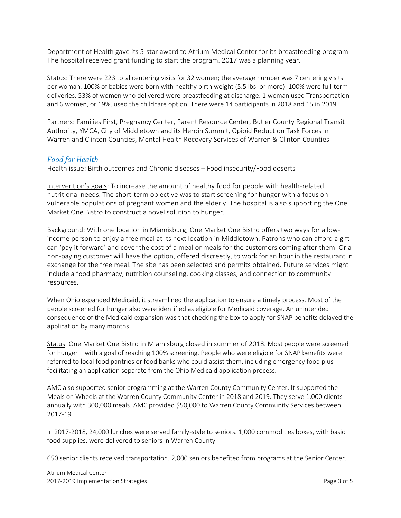Department of Health gave its 5-star award to Atrium Medical Center for its breastfeeding program. The hospital received grant funding to start the program. 2017 was a planning year.

Status: There were 223 total centering visits for 32 women; the average number was 7 centering visits per woman. 100% of babies were born with healthy birth weight (5.5 lbs. or more). 100% were full-term deliveries. 53% of women who delivered were breastfeeding at discharge. 1 woman used Transportation and 6 women, or 19%, used the childcare option. There were 14 participants in 2018 and 15 in 2019.

Partners: Families First, Pregnancy Center, Parent Resource Center, Butler County Regional Transit Authority, YMCA, City of Middletown and its Heroin Summit, Opioid Reduction Task Forces in Warren and Clinton Counties, Mental Health Recovery Services of Warren & Clinton Counties

#### *Food for Health*

Health issue: Birth outcomes and Chronic diseases – Food insecurity/Food deserts

Intervention's goals: To increase the amount of healthy food for people with health-related nutritional needs. The short-term objective was to start screening for hunger with a focus on vulnerable populations of pregnant women and the elderly. The hospital is also supporting the One Market One Bistro to construct a novel solution to hunger.

Background: With one location in Miamisburg, One Market One Bistro offers two ways for a lowincome person to enjoy a free meal at its next location in Middletown. Patrons who can afford a gift can 'pay it forward' and cover the cost of a meal or meals for the customers coming after them. Or a non-paying customer will have the option, offered discreetly, to work for an hour in the restaurant in exchange for the free meal. The site has been selected and permits obtained. Future services might include a food pharmacy, nutrition counseling, cooking classes, and connection to community resources.

When Ohio expanded Medicaid, it streamlined the application to ensure a timely process. Most of the people screened for hunger also were identified as eligible for Medicaid coverage. An unintended consequence of the Medicaid expansion was that checking the box to apply for SNAP benefits delayed the application by many months.

Status: One Market One Bistro in Miamisburg closed in summer of 2018. Most people were screened for hunger – with a goal of reaching 100% screening. People who were eligible for SNAP benefits were referred to local food pantries or food banks who could assist them, including emergency food plus facilitating an application separate from the Ohio Medicaid application process.

AMC also supported senior programming at the Warren County Community Center. It supported the Meals on Wheels at the Warren County Community Center in 2018 and 2019. They serve 1,000 clients annually with 300,000 meals. AMC provided \$50,000 to Warren County Community Services between 2017-19.

In 2017-2018, 24,000 lunches were served family-style to seniors. 1,000 commodities boxes, with basic food supplies, were delivered to seniors in Warren County.

650 senior clients received transportation. 2,000 seniors benefited from programs at the Senior Center.

Atrium Medical Center 2017-2019 Implementation Strategies **Page 3 of 5** and 2017-2019 Implementation Strategies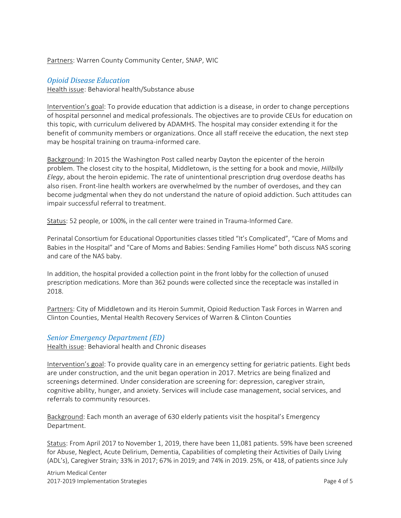#### Partners: Warren County Community Center, SNAP, WIC

#### *Opioid Disease Education*

Health issue: Behavioral health/Substance abuse

Intervention's goal: To provide education that addiction is a disease, in order to change perceptions of hospital personnel and medical professionals. The objectives are to provide CEUs for education on this topic, with curriculum delivered by ADAMHS. The hospital may consider extending it for the benefit of community members or organizations. Once all staff receive the education, the next step may be hospital training on trauma-informed care.

Background: In 2015 the Washington Post called nearby Dayton the epicenter of the heroin problem. The closest city to the hospital, Middletown, is the setting for a book and movie, *Hillbilly Elegy*, about the heroin epidemic. The rate of unintentional prescription drug overdose deaths has also risen. Front-line health workers are overwhelmed by the number of overdoses, and they can become judgmental when they do not understand the nature of opioid addiction. Such attitudes can impair successful referral to treatment.

Status: 52 people, or 100%, in the call center were trained in Trauma-Informed Care.

Perinatal Consortium for Educational Opportunities classes titled "It's Complicated", "Care of Moms and Babies in the Hospital" and "Care of Moms and Babies: Sending Families Home" both discuss NAS scoring and care of the NAS baby.

In addition, the hospital provided a collection point in the front lobby for the collection of unused prescription medications. More than 362 pounds were collected since the receptacle was installed in 2018.

Partners: City of Middletown and its Heroin Summit, Opioid Reduction Task Forces in Warren and Clinton Counties, Mental Health Recovery Services of Warren & Clinton Counties

#### *Senior Emergency Department (ED)*

Health issue: Behavioral health and Chronic diseases

Intervention's goal: To provide quality care in an emergency setting for geriatric patients. Eight beds are under construction, and the unit began operation in 2017. Metrics are being finalized and screenings determined. Under consideration are screening for: depression, caregiver strain, cognitive ability, hunger, and anxiety. Services will include case management, social services, and referrals to community resources.

Background: Each month an average of 630 elderly patients visit the hospital's Emergency Department.

Status: From April 2017 to November 1, 2019, there have been 11,081 patients. 59% have been screened for Abuse, Neglect, Acute Delirium, Dementia, Capabilities of completing their Activities of Daily Living (ADL's), Caregiver Strain*;* 33% in 2017; 67% in 2019; and 74% in 2019. 25%, or 418, of patients since July